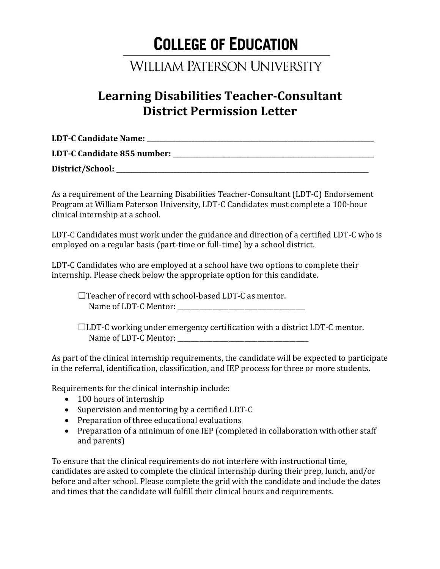## **COLLEGE OF EDUCATION**

## **WILLIAM PATERSON UNIVERSITY**

## **Learning Disabilities Teacher-Consultant District Permission Letter**

| <b>LDT-C Candidate Name:</b>         |  |
|--------------------------------------|--|
| <b>LDT-C Candidate 855 number: _</b> |  |
|                                      |  |

**District/School: \_\_\_\_\_\_\_\_\_\_\_\_\_\_\_\_\_\_\_\_\_\_\_\_\_\_\_\_\_\_\_\_\_\_\_\_\_\_\_\_\_\_\_\_\_\_\_\_\_\_\_\_\_\_\_\_\_\_\_\_\_\_\_\_\_\_\_\_\_\_\_\_\_\_\_\_\_\_\_**

As a requirement of the Learning Disabilities Teacher-Consultant (LDT-C) Endorsement Program at William Paterson University, LDT-C Candidates must complete a 100-hour clinical internship at a school.

LDT-C Candidates must work under the guidance and direction of a certified LDT-C who is employed on a regular basis (part-time or full-time) by a school district.

LDT-C Candidates who are employed at a school have two options to complete their internship. Please check below the appropriate option for this candidate.

☐Teacher of record with school-based LDT-C as mentor. Name of LDT-C Mentor:

☐LDT-C working under emergency certification with a district LDT-C mentor. Name of LDT-C Mentor:

As part of the clinical internship requirements, the candidate will be expected to participate in the referral, identification, classification, and IEP process for three or more students.

Requirements for the clinical internship include:

- 100 hours of internship
- Supervision and mentoring by a certified LDT-C
- Preparation of three educational evaluations
- Preparation of a minimum of one IEP (completed in collaboration with other staff and parents)

To ensure that the clinical requirements do not interfere with instructional time, candidates are asked to complete the clinical internship during their prep, lunch, and/or before and after school. Please complete the grid with the candidate and include the dates and times that the candidate will fulfill their clinical hours and requirements.